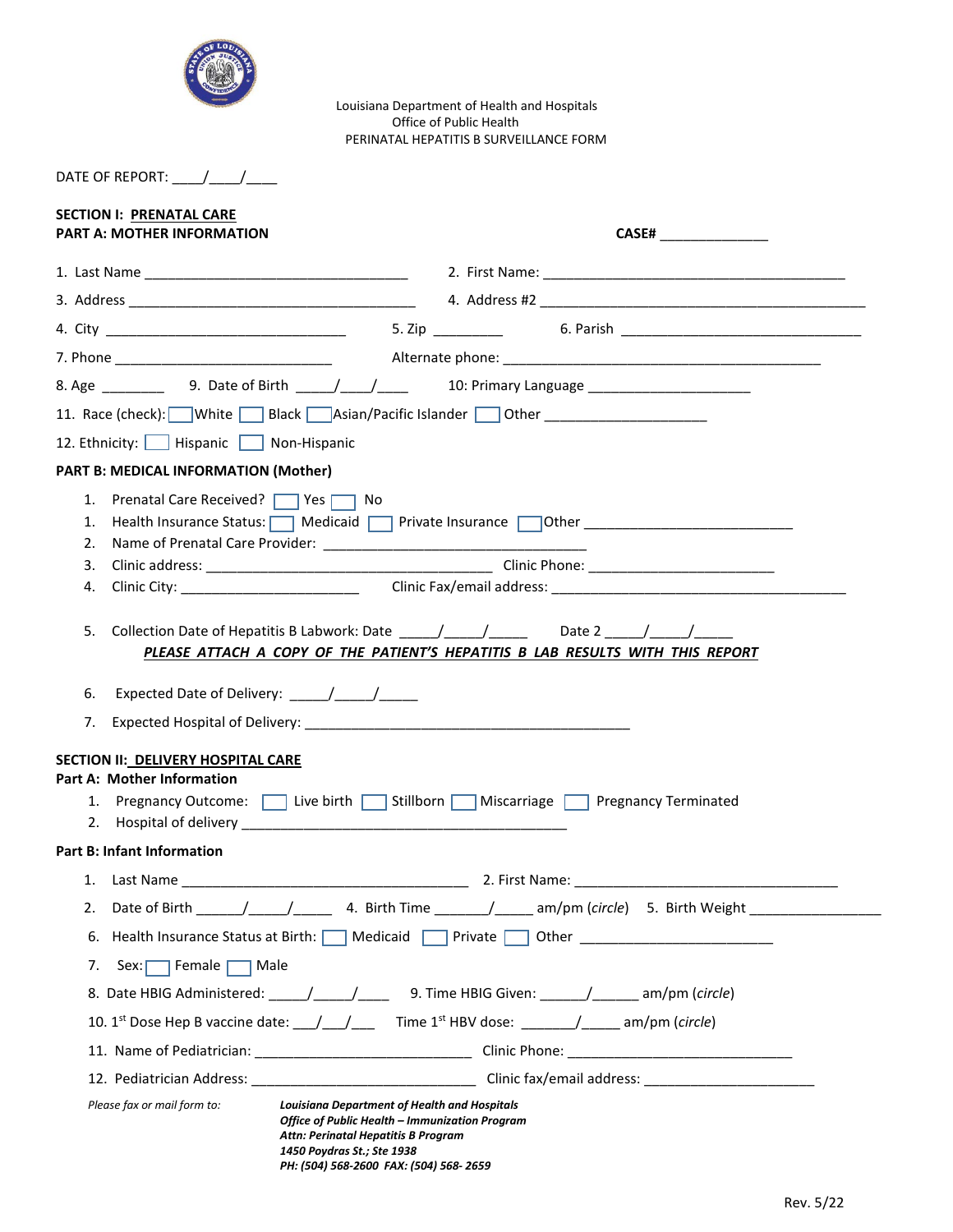

Louisiana Department of Health and Hospitals Office of Public Health PERINATAL HEPATITIS B SURVEILLANCE FORM

| DATE OF REPORT: |  |  |  |
|-----------------|--|--|--|
|-----------------|--|--|--|

| <b>SECTION I: PRENATAL CARE</b><br><b>PART A: MOTHER INFORMATION</b>   |                                                                                                                                                                                                                      |
|------------------------------------------------------------------------|----------------------------------------------------------------------------------------------------------------------------------------------------------------------------------------------------------------------|
|                                                                        |                                                                                                                                                                                                                      |
|                                                                        |                                                                                                                                                                                                                      |
|                                                                        |                                                                                                                                                                                                                      |
|                                                                        |                                                                                                                                                                                                                      |
|                                                                        |                                                                                                                                                                                                                      |
|                                                                        | 11. Race (check): White Black Asian/Pacific Islander Other Communication                                                                                                                                             |
| 12. Ethnicity:   Hispanic   Non-Hispanic                               |                                                                                                                                                                                                                      |
| <b>PART B: MEDICAL INFORMATION (Mother)</b>                            |                                                                                                                                                                                                                      |
| 1. Prenatal Care Received?   Yes   No<br>2.                            | 1. Health Insurance Status:   Medicaid   Private Insurance   Other _________________________________                                                                                                                 |
|                                                                        |                                                                                                                                                                                                                      |
|                                                                        |                                                                                                                                                                                                                      |
| 7.<br>SECTION II: DELIVERY HOSPITAL CARE<br>Part A: Mother Information | 1. Pregnancy Outcome: 1 Live birth Stillborn Miscarriage Pregnancy Terminated                                                                                                                                        |
| <b>Part B: Infant Information</b>                                      |                                                                                                                                                                                                                      |
|                                                                        |                                                                                                                                                                                                                      |
| Date of Birth _<br>2.                                                  |                                                                                                                                                                                                                      |
|                                                                        | 6. Health Insurance Status at Birth:   Medicaid   Private   Other _______________                                                                                                                                    |
| Sex: Female   Male<br>7.                                               |                                                                                                                                                                                                                      |
|                                                                        | 8. Date HBIG Administered: ____/____/______ 9. Time HBIG Given: _____/______ am/pm (circle)                                                                                                                          |
|                                                                        |                                                                                                                                                                                                                      |
|                                                                        |                                                                                                                                                                                                                      |
|                                                                        |                                                                                                                                                                                                                      |
| Please fax or mail form to:                                            | <b>Louisiana Department of Health and Hospitals</b><br>Office of Public Health - Immunization Program<br>Attn: Perinatal Hepatitis B Program<br>1450 Poydras St.; Ste 1938<br>PH: (504) 568-2600 FAX: (504) 568-2659 |